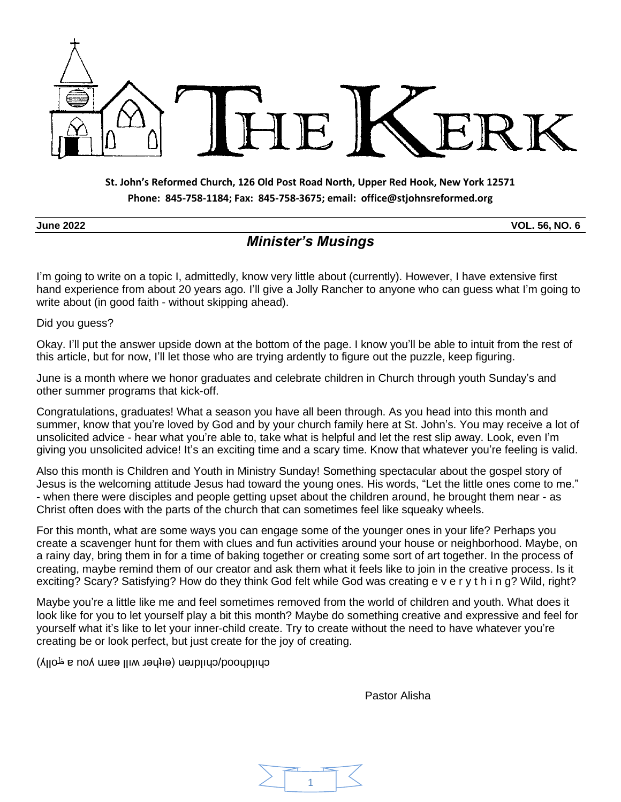

#### **St. John's Reformed Church, 126 Old Post Road North, Upper Red Hook, New York 12571 Phone: 845-758-1184; Fax: 845-758-3675; email: office@stjohnsreformed.org**

**June 2022 VOL. 56, NO. 6**

# *Minister's Musings*

I'm going to write on a topic I, admittedly, know very little about (currently). However, I have extensive first hand experience from about 20 years ago. I'll give a Jolly Rancher to anyone who can guess what I'm going to write about (in good faith - without skipping ahead).

Did you guess?

Okay. I'll put the answer upside down at the bottom of the page. I know you'll be able to intuit from the rest of this article, but for now, I'll let those who are trying ardently to figure out the puzzle, keep figuring.

June is a month where we honor graduates and celebrate children in Church through youth Sunday's and other summer programs that kick-off.

Congratulations, graduates! What a season you have all been through. As you head into this month and summer, know that you're loved by God and by your church family here at St. John's. You may receive a lot of unsolicited advice - hear what you're able to, take what is helpful and let the rest slip away. Look, even I'm giving you unsolicited advice! It's an exciting time and a scary time. Know that whatever you're feeling is valid.

Also this month is Children and Youth in Ministry Sunday! Something spectacular about the gospel story of Jesus is the welcoming attitude Jesus had toward the young ones. His words, "Let the little ones come to me." - when there were disciples and people getting upset about the children around, he brought them near - as Christ often does with the parts of the church that can sometimes feel like squeaky wheels.

For this month, what are some ways you can engage some of the younger ones in your life? Perhaps you create a scavenger hunt for them with clues and fun activities around your house or neighborhood. Maybe, on a rainy day, bring them in for a time of baking together or creating some sort of art together. In the process of creating, maybe remind them of our creator and ask them what it feels like to join in the creative process. Is it exciting? Scary? Satisfying? How do they think God felt while God was creating e v e r y t h i n g? Wild, right?

Maybe you're a little like me and feel sometimes removed from the world of children and youth. What does it look like for you to let yourself play a bit this month? Maybe do something creative and expressive and feel for yourself what it's like to let your inner-child create. Try to create without the need to have whatever you're creating be or look perfect, but just create for the joy of creating.

cy ilquooq/cuiquel (eique τωι με το λοπ ε τοιμλ)

Pastor Alisha

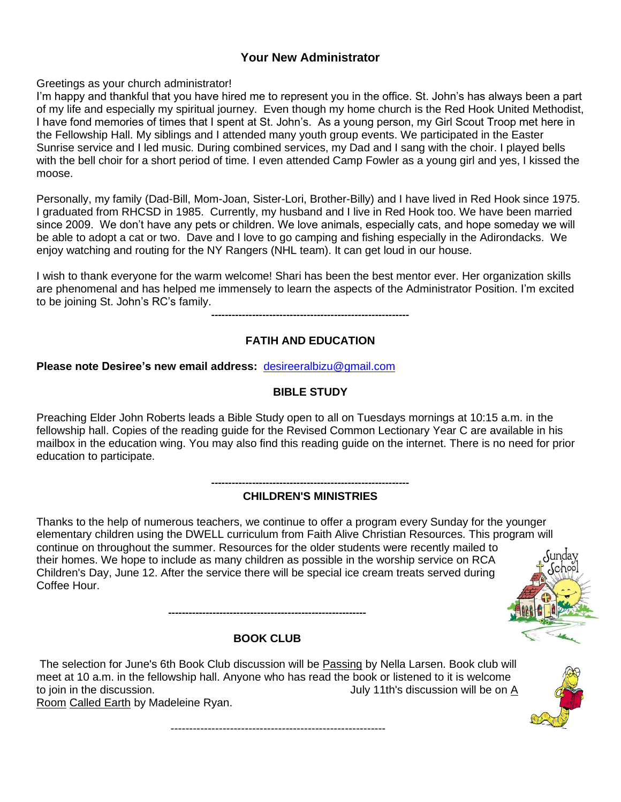### **Your New Administrator**

Greetings as your church administrator!

I'm happy and thankful that you have hired me to represent you in the office. St. John's has always been a part of my life and especially my spiritual journey. Even though my home church is the Red Hook United Methodist, I have fond memories of times that I spent at St. John's. As a young person, my Girl Scout Troop met here in the Fellowship Hall. My siblings and I attended many youth group events. We participated in the Easter Sunrise service and I led music. During combined services, my Dad and I sang with the choir. I played bells with the bell choir for a short period of time. I even attended Camp Fowler as a young girl and yes, I kissed the moose.

Personally, my family (Dad-Bill, Mom-Joan, Sister-Lori, Brother-Billy) and I have lived in Red Hook since 1975. I graduated from RHCSD in 1985. Currently, my husband and I live in Red Hook too. We have been married since 2009. We don't have any pets or children. We love animals, especially cats, and hope someday we will be able to adopt a cat or two. Dave and I love to go camping and fishing especially in the Adirondacks. We enjoy watching and routing for the NY Rangers (NHL team). It can get loud in our house.

I wish to thank everyone for the warm welcome! Shari has been the best mentor ever. Her organization skills are phenomenal and has helped me immensely to learn the aspects of the Administrator Position. I'm excited to be joining St. John's RC's family.

**----------------------------------------------------------**

#### **FATIH AND EDUCATION**

**Please note Desiree's new email address:** [desireeralbizu@gmail.com](mailto:desireealbizu@gmail.com)

#### **BIBLE STUDY**

Preaching Elder John Roberts leads a Bible Study open to all on Tuesdays mornings at 10:15 a.m. in the fellowship hall. Copies of the reading guide for the Revised Common Lectionary Year C are available in his mailbox in the education wing. You may also find this reading guide on the internet. There is no need for prior education to participate.

#### **---------------------------------------------------------- CHILDREN'S MINISTRIES**

Thanks to the help of numerous teachers, we continue to offer a program every Sunday for the younger elementary children using the DWELL curriculum from Faith Alive Christian Resources. This program will continue on throughout the summer. Resources for the older students were recently mailed to their homes. We hope to include as many children as possible in the worship service on RCA Children's Day, June 12. After the service there will be special ice cream treats served during Coffee Hour.



#### **BOOK CLUB**

**----------------------------------------------------------**

The selection for June's 6th Book Club discussion will be Passing by Nella Larsen. Book club will meet at 10 a.m. in the fellowship hall. Anyone who has read the book or listened to it is welcome to join in the discussion. The same of the set of the set of the set of the set of the set of the set of the s Room Called Earth by Madeleine Ryan.



----------------------------------------------------------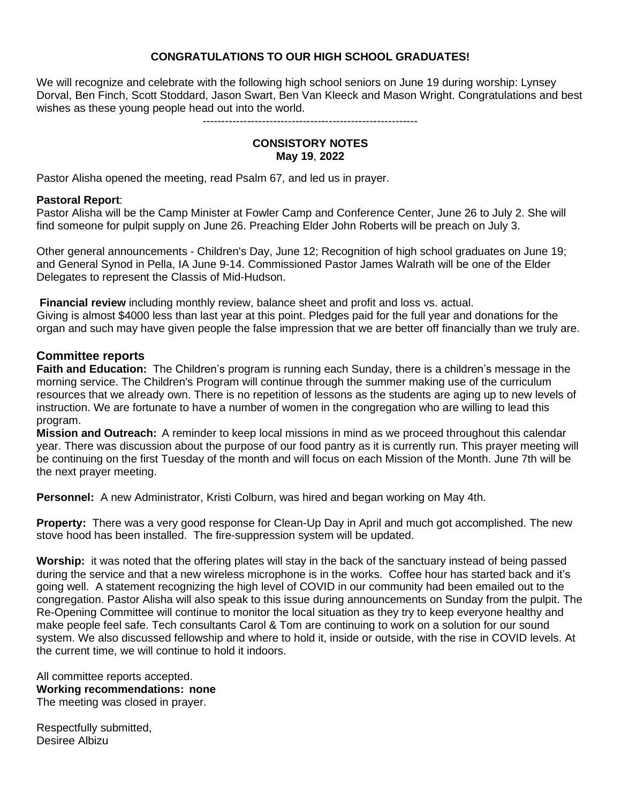#### **CONGRATULATIONS TO OUR HIGH SCHOOL GRADUATES!**

We will recognize and celebrate with the following high school seniors on June 19 during worship: Lynsey Dorval, Ben Finch, Scott Stoddard, Jason Swart, Ben Van Kleeck and Mason Wright. Congratulations and best wishes as these young people head out into the world.

#### ----------------------------------------------------------

#### **CONSISTORY NOTES May 19**, **2022**

Pastor Alisha opened the meeting, read Psalm 67, and led us in prayer.

#### **Pastoral Report**:

Pastor Alisha will be the Camp Minister at Fowler Camp and Conference Center, June 26 to July 2. She will find someone for pulpit supply on June 26. Preaching Elder John Roberts will be preach on July 3.

Other general announcements - Children's Day, June 12; Recognition of high school graduates on June 19; and General Synod in Pella, IA June 9-14. Commissioned Pastor James Walrath will be one of the Elder Delegates to represent the Classis of Mid-Hudson.

**Financial review** including monthly review, balance sheet and profit and loss vs. actual. Giving is almost \$4000 less than last year at this point. Pledges paid for the full year and donations for the organ and such may have given people the false impression that we are better off financially than we truly are.

#### **Committee reports**

**Faith and Education:** The Children's program is running each Sunday, there is a children's message in the morning service. The Children's Program will continue through the summer making use of the curriculum resources that we already own. There is no repetition of lessons as the students are aging up to new levels of instruction. We are fortunate to have a number of women in the congregation who are willing to lead this program.

**Mission and Outreach:** A reminder to keep local missions in mind as we proceed throughout this calendar year. There was discussion about the purpose of our food pantry as it is currently run. This prayer meeting will be continuing on the first Tuesday of the month and will focus on each Mission of the Month. June 7th will be the next prayer meeting.

**Personnel:** A new Administrator, Kristi Colburn, was hired and began working on May 4th.

**Property:** There was a very good response for Clean-Up Day in April and much got accomplished. The new stove hood has been installed. The fire-suppression system will be updated.

**Worship:** it was noted that the offering plates will stay in the back of the sanctuary instead of being passed during the service and that a new wireless microphone is in the works. Coffee hour has started back and it's going well. A statement recognizing the high level of COVID in our community had been emailed out to the congregation. Pastor Alisha will also speak to this issue during announcements on Sunday from the pulpit. The Re-Opening Committee will continue to monitor the local situation as they try to keep everyone healthy and make people feel safe. Tech consultants Carol & Tom are continuing to work on a solution for our sound system. We also discussed fellowship and where to hold it, inside or outside, with the rise in COVID levels. At the current time, we will continue to hold it indoors.

All committee reports accepted. **Working recommendations: none** The meeting was closed in prayer.

Respectfully submitted, Desiree Albizu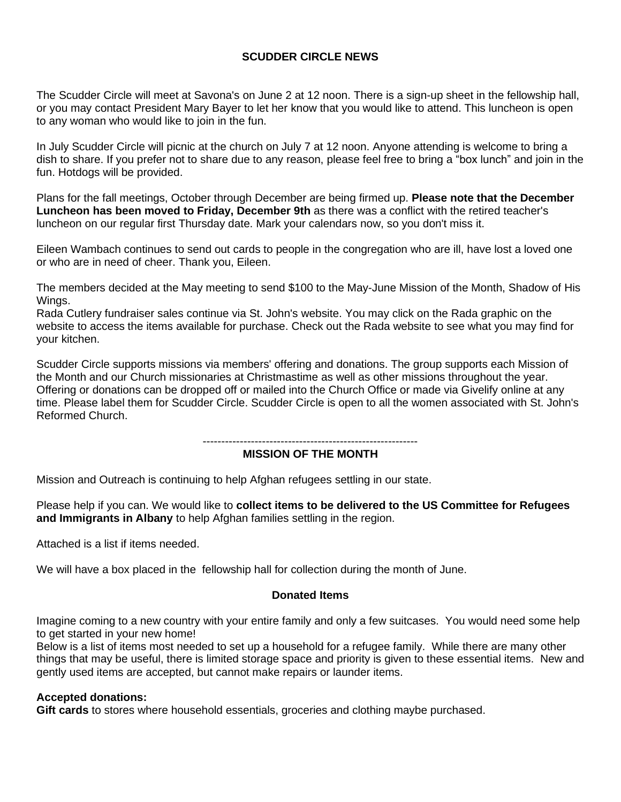#### **SCUDDER CIRCLE NEWS**

The Scudder Circle will meet at Savona's on June 2 at 12 noon. There is a sign-up sheet in the fellowship hall, or you may contact President Mary Bayer to let her know that you would like to attend. This luncheon is open to any woman who would like to join in the fun.

In July Scudder Circle will picnic at the church on July 7 at 12 noon. Anyone attending is welcome to bring a dish to share. If you prefer not to share due to any reason, please feel free to bring a "box lunch" and join in the fun. Hotdogs will be provided.

Plans for the fall meetings, October through December are being firmed up. **Please note that the December Luncheon has been moved to Friday, December 9th** as there was a conflict with the retired teacher's luncheon on our regular first Thursday date. Mark your calendars now, so you don't miss it.

Eileen Wambach continues to send out cards to people in the congregation who are ill, have lost a loved one or who are in need of cheer. Thank you, Eileen.

The members decided at the May meeting to send \$100 to the May-June Mission of the Month, Shadow of His Wings.

Rada Cutlery fundraiser sales continue via St. John's website. You may click on the Rada graphic on the website to access the items available for purchase. Check out the Rada website to see what you may find for your kitchen.

Scudder Circle supports missions via members' offering and donations. The group supports each Mission of the Month and our Church missionaries at Christmastime as well as other missions throughout the year. Offering or donations can be dropped off or mailed into the Church Office or made via Givelify online at any time. Please label them for Scudder Circle. Scudder Circle is open to all the women associated with St. John's Reformed Church.

----------------------------------------------------------

#### **MISSION OF THE MONTH**

Mission and Outreach is continuing to help Afghan refugees settling in our state.

Please help if you can. We would like to **collect items to be delivered to the US Committee for Refugees and Immigrants in Albany** to help Afghan families settling in the region.

Attached is a list if items needed.

We will have a box placed in the fellowship hall for collection during the month of June.

#### **Donated Items**

Imagine coming to a new country with your entire family and only a few suitcases. You would need some help to get started in your new home!

Below is a list of items most needed to set up a household for a refugee family. While there are many other things that may be useful, there is limited storage space and priority is given to these essential items. New and gently used items are accepted, but cannot make repairs or launder items.

#### **Accepted donations:**

**Gift cards** to stores where household essentials, groceries and clothing maybe purchased.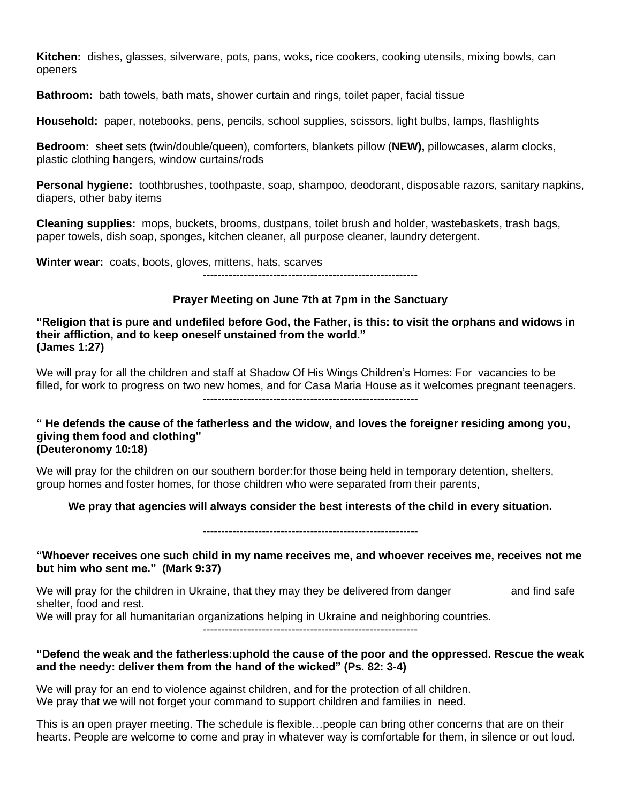**Kitchen:** dishes, glasses, silverware, pots, pans, woks, rice cookers, cooking utensils, mixing bowls, can openers

**Bathroom:** bath towels, bath mats, shower curtain and rings, toilet paper, facial tissue

**Household:** paper, notebooks, pens, pencils, school supplies, scissors, light bulbs, lamps, flashlights

**Bedroom:** sheet sets (twin/double/queen), comforters, blankets pillow (**NEW),** pillowcases, alarm clocks, plastic clothing hangers, window curtains/rods

**Personal hygiene:** toothbrushes, toothpaste, soap, shampoo, deodorant, disposable razors, sanitary napkins, diapers, other baby items

**Cleaning supplies:** mops, buckets, brooms, dustpans, toilet brush and holder, wastebaskets, trash bags, paper towels, dish soap, sponges, kitchen cleaner, all purpose cleaner, laundry detergent.

**Winter wear:** coats, boots, gloves, mittens, hats, scarves ----------------------------------------------------------

# **Prayer Meeting on June 7th at 7pm in the Sanctuary**

#### "Religion that is pure and undefiled before God, the Father, is this: to visit the orphans and widows in **their affliction, and to keep oneself unstained from the world." (James 1:27)**

We will pray for all the children and staff at Shadow Of His Wings Children's Homes: For vacancies to be filled, for work to progress on two new homes, and for Casa Maria House as it welcomes pregnant teenagers. ----------------------------------------------------------

#### " He defends the cause of the fatherless and the widow, and loves the foreigner residing among you, **giving them food and clothing" (Deuteronomy 10:18)**

We will pray for the children on our southern border: for those being held in temporary detention, shelters, group homes and foster homes, for those children who were separated from their parents,

#### **We pray that agencies will always consider the best interests of the child in every situation.**

----------------------------------------------------------

#### **"Whoever receives one such child in my name receives me, and whoever receives me, receives not me but him who sent me." (Mark 9:37)**

We will pray for the children in Ukraine, that they may they be delivered from danger and find safe shelter, food and rest.

We will pray for all humanitarian organizations helping in Ukraine and neighboring countries.

----------------------------------------------------------

#### **"Defend the weak and the fatherless:uphold the cause of the poor and the oppressed. Rescue the weak and the needy: deliver them from the hand of the wicked" (Ps. 82: 3-4)**

We will pray for an end to violence against children, and for the protection of all children. We pray that we will not forget your command to support children and families in need.

This is an open prayer meeting. The schedule is flexible…people can bring other concerns that are on their hearts. People are welcome to come and pray in whatever way is comfortable for them, in silence or out loud.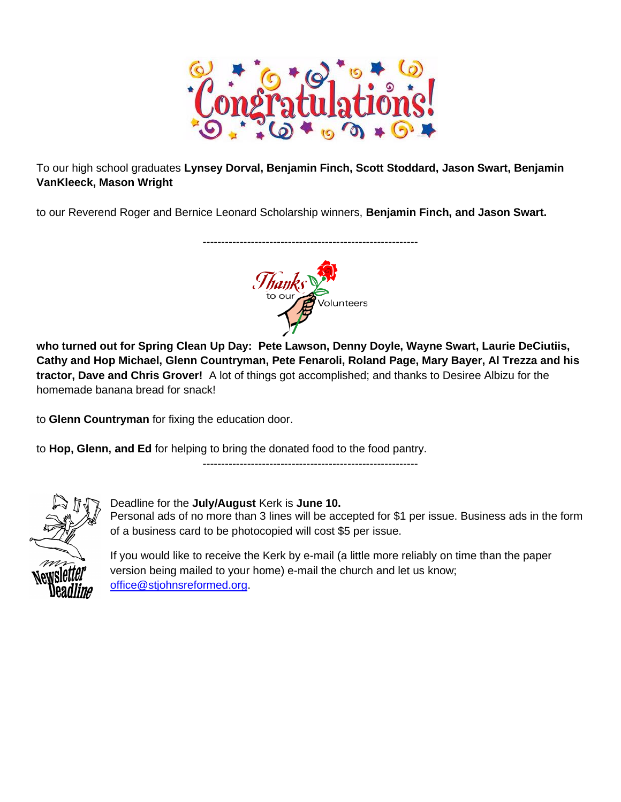

To our high school graduates **Lynsey Dorval, Benjamin Finch, Scott Stoddard, Jason Swart, Benjamin VanKleeck, Mason Wright**

to our Reverend Roger and Bernice Leonard Scholarship winners, **Benjamin Finch, and Jason Swart.**



----------------------------------------------------------

**who turned out for Spring Clean Up Day: Pete Lawson, Denny Doyle, Wayne Swart, Laurie DeCiutiis, Cathy and Hop Michael, Glenn Countryman, Pete Fenaroli, Roland Page, Mary Bayer, Al Trezza and his tractor, Dave and Chris Grover!** A lot of things got accomplished; and thanks to Desiree Albizu for the homemade banana bread for snack!

to **Glenn Countryman** for fixing the education door.

to **Hop, Glenn, and Ed** for helping to bring the donated food to the food pantry.

Deadline for the **July/August** Kerk is **June 10.**

of a business card to be photocopied will cost \$5 per issue.

----------------------------------------------------------



If you would like to receive the Kerk by e-mail (a little more reliably on time than the paper version being mailed to your home) e-mail the church and let us know; [office@stjohnsreformed.org.](mailto:office@stjohnsreformed.org)

Personal ads of no more than 3 lines will be accepted for \$1 per issue. Business ads in the form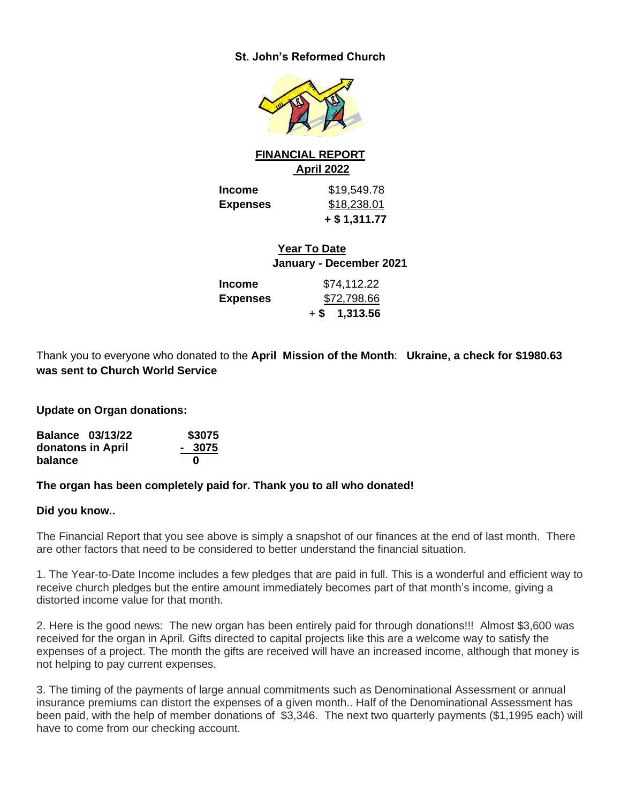#### **St. John's Reformed Church**



#### **FINANCIAL REPORT April 2022**

**Income** \$19,549.78 **Expenses** \$18,238.01 **+ \$ 1,311.77**

> **Year To Date January - December 2021**

| Income          | \$74,112.22     |
|-----------------|-----------------|
| <b>Expenses</b> | \$72,798.66     |
|                 | $+$ \$ 1,313.56 |

Thank you to everyone who donated to the **April Mission of the Month**: **Ukraine, a check for \$1980.63 was sent to Church World Service**

**Update on Organ donations:** 

| <b>Balance 03/13/22</b> | \$3075 |
|-------------------------|--------|
| donatons in April       | - 3075 |
| balance                 | O      |

#### **The organ has been completely paid for. Thank you to all who donated!**

#### **Did you know..**

The Financial Report that you see above is simply a snapshot of our finances at the end of last month. There are other factors that need to be considered to better understand the financial situation.

1. The Year-to-Date Income includes a few pledges that are paid in full. This is a wonderful and efficient way to receive church pledges but the entire amount immediately becomes part of that month's income, giving a distorted income value for that month.

2. Here is the good news: The new organ has been entirely paid for through donations!!! Almost \$3,600 was received for the organ in April. Gifts directed to capital projects like this are a welcome way to satisfy the expenses of a project. The month the gifts are received will have an increased income, although that money is not helping to pay current expenses.

3. The timing of the payments of large annual commitments such as Denominational Assessment or annual insurance premiums can distort the expenses of a given month.. Half of the Denominational Assessment has been paid, with the help of member donations of \$3,346. The next two quarterly payments (\$1,1995 each) will have to come from our checking account.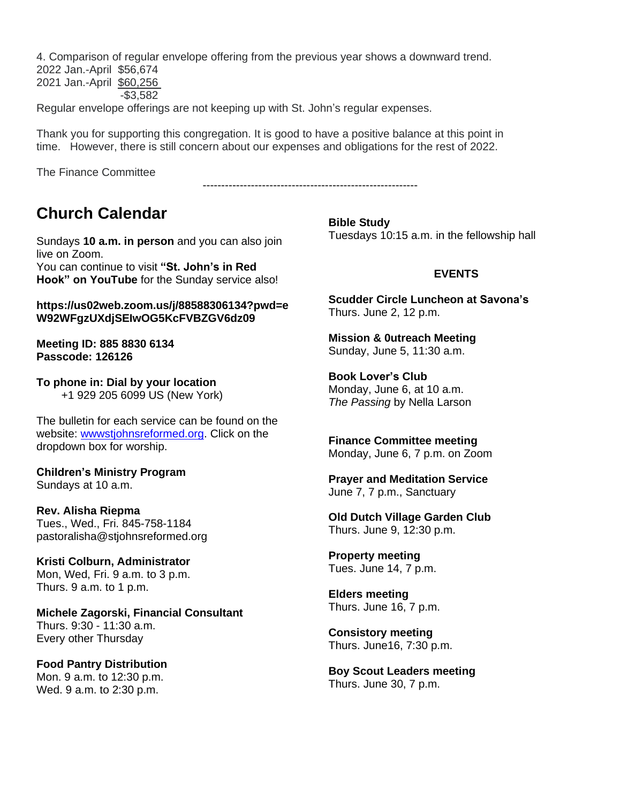4. Comparison of regular envelope offering from the previous year shows a downward trend.

2022 Jan.-April \$56,674 2021 Jan.-April \$60,256 -\$3,582

Regular envelope offerings are not keeping up with St. John's regular expenses.

Thank you for supporting this congregation. It is good to have a positive balance at this point in time. However, there is still concern about our expenses and obligations for the rest of 2022.

----------------------------------------------------------

The Finance Committee

# **Church Calendar**

Sundays **10 a.m. in person** and you can also join live on Zoom.

You can continue to visit **"St. John's in Red Hook" on YouTube** for the Sunday service also!

#### **https://us02web.zoom.us/j/88588306134?pwd=e W92WFgzUXdjSEIwOG5KcFVBZGV6dz09**

**Meeting ID: 885 8830 6134 Passcode: 126126**

**To phone in: Dial by your location** +1 929 205 6099 US (New York)

The bulletin for each service can be found on the website: [wwwstjohnsreformed.org.](http://wwwstjohnsreformed.org/) Click on the dropdown box for worship.

#### **Children's Ministry Program** Sundays at 10 a.m.

**Rev. Alisha Riepma** Tues., Wed., Fri. 845-758-1184

pastoralisha@stjohnsreformed.org

**Kristi Colburn, Administrator** Mon, Wed, Fri. 9 a.m. to 3 p.m. Thurs. 9 a.m. to 1 p.m.

**Michele Zagorski, Financial Consultant** Thurs. 9:30 - 11:30 a.m. Every other Thursday

**Food Pantry Distribution** Mon. 9 a.m. to 12:30 p.m. Wed. 9 a.m. to 2:30 p.m.

**Bible Study** Tuesdays 10:15 a.m. in the fellowship hall

#### **EVENTS**

**Scudder Circle Luncheon at Savona's** Thurs. June 2, 12 p.m.

**Mission & 0utreach Meeting** Sunday, June 5, 11:30 a.m.

**Book Lover's Club** Monday, June 6, at 10 a.m. *The Passing* by Nella Larson

**Finance Committee meeting** Monday, June 6, 7 p.m. on Zoom

**Prayer and Meditation Service** June 7, 7 p.m., Sanctuary

**Old Dutch Village Garden Club** Thurs. June 9, 12:30 p.m.

**Property meeting** Tues. June 14, 7 p.m.

**Elders meeting** Thurs. June 16, 7 p.m.

**Consistory meeting** Thurs. June16, 7:30 p.m.

**Boy Scout Leaders meeting** Thurs. June 30, 7 p.m.